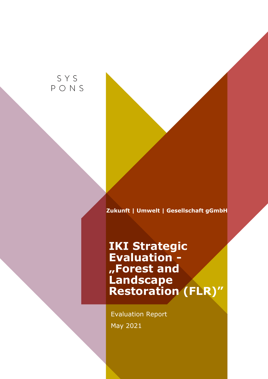SYS PONS

**Zukunft | Umwelt | Gesellschaft gGmbH** 

# **IKI Strategic Evaluation - "Forest and Landscape Restoration (FLR)"**

Evaluation Report May 2021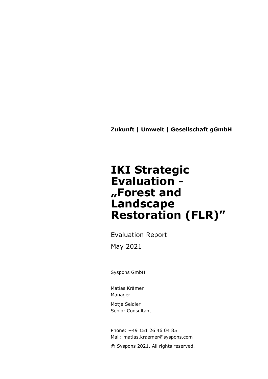**Zukunft | Umwelt | Gesellschaft gGmbH** 

# **IKI Strategic Evaluation - "Forest and Landscape Restoration (FLR)"**

Evaluation Report May 2021

Syspons GmbH

Matias Krämer Manager

Motje Seidler Senior Consultant

Phone: +49 151 26 46 04 85 Mail: [matias.kraemer@syspons.com](mailto:matias.kraemer@syspons.com)

© Syspons 2021. All rights reserved.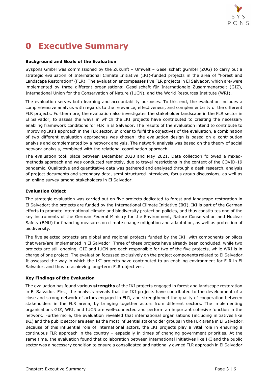

## **0 Executive Summary**

### **Background and Goals of the Evaluation**

Syspons GmbH was commissioned by the Zukunft – Umwelt – Gesellschaft gGmbH (ZUG) to carry out a strategic evaluation of International Climate Initiative (IKI)-funded projects in the area of "Forest and Landscape Restoration" (FLR). The evaluation encompasses five FLR projects in El Salvador, which are/were implemented by three different organisations: Gesellschaft für Internationale Zusammenarbeit (GIZ), International Union for the Conservation of Nature (IUCN), and the World Resources Institute (WRI).

The evaluation serves both learning and accountability purposes. To this end, the evaluation includes a comprehensive analysis with regards to the relevance, effectiveness, and complementarity of the different FLR projects. Furthermore, the evaluation also investigates the stakeholder landscape in the FLR sector in El Salvador, to assess the ways in which the IKI projects have contributed to creating the necessary enabling framework conditions for FLR in El Salvador. The results of the evaluation intend to contribute to improving IKI's approach in the FLR sector. In order to fulfil the objectives of the evaluation, a combination of two different evaluation approaches was chosen: the evaluation design is based on a contribution analysis and complemented by a network analysis. The network analysis was based on the theory of social network analysis, combined with the relational coordination approach.

The evaluation took place between December 2020 and May 2021. Data collection followed a mixedmethods approach and was conducted remotely, due to travel restrictions in the context of the COVID-19 pandemic. Qualitative and quantitative data was gathered and analysed through a desk research, analysis of project documents and secondary data, semi-structured interviews, focus group discussions, as well as an online survey among stakeholders in El Salvador.

### **Evaluation Object**

The strategic evaluation was carried out on five projects dedicated to forest and landscape restoration in El Salvador; the projects are funded by the International Climate Initiative (IKI). IKI is part of the German efforts to promote international climate and biodiversity protection policies, and thus constitutes one of the key instruments of the German Federal Ministry for the Environment, Nature Conservation and Nuclear Safety (BMU) for financing measures on climate change mitigation and adaptation, as well as protection of biodiversity.

The five selected projects are global and regional projects funded by the IKI, with components or pilots that were/are implemented in El Salvador. Three of these projects have already been concluded, while two projects are still ongoing. GIZ and IUCN are each responsible for two of the five projects, while WRI is in charge of one project. The evaluation focussed exclusively on the project components related to El Salvador. It assessed the way in which the IKI projects have contributed to an enabling environment for FLR in El Salvador, and thus to achieving long-term FLR objectives.

### **Key Findings of the Evaluation**

The evaluation has found various **strengths** of the IKI projects engaged in forest and landscape restoration in El Salvador. First, the analysis reveals that the IKI projects have contributed to the development of a close and strong network of actors engaged in FLR, and strengthened the quality of cooperation between stakeholders in the FLR arena, by bringing together actors from different sectors. The implementing organisations GIZ, WRI, and IUCN are well-connected and perform an important cohesive function in the network. Furthermore, the evaluation revealed that international organisations (including initiatives like IKI) and the public sector are seen as the most influential stakeholder groups in the FLR arena in El Salvador. Because of this influential role of international actors, the IKI projects play a vital role in ensuring a continuous FLR approach in the country – especially in times of changing government priorities. At the same time, the evaluation found that collaboration between international initiatives like IKI and the public sector was a necessary condition to ensure a consolidated and nationally owned FLR approach in El Salvador.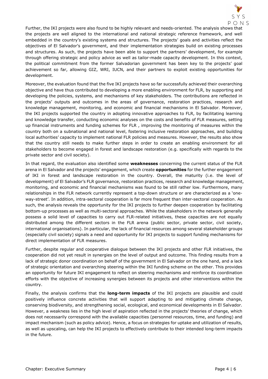

Further, the IKI projects were also found to be highly relevant and needs-oriented. The analysis shows that the projects are well aligned to the international and national strategic reference framework, and well embedded in the country's existing systems and structures. The projects' goals and activities reflect the objectives of El Salvador's government, and their implementation strategies build on existing processes and structures. As such, the projects have been able to support the partners' development, for example through offering strategic and policy advice as well as tailor-made capacity development. In this context, the political commitment from the former Salvadorian government has been key to the projects' goal achievement so far, allowing GIZ, WRI, IUCN, and their partners to exploit existing opportunities for development.

Moreover, the evaluation found that the five IKI projects have so far successfully achieved their overarching objective and have thus contributed to developing a more enabling environment for FLR, by supporting and developing the policies, systems, and mechanisms of key stakeholders. The contributions are reflected in the projects' outputs and outcomes in the areas of governance, restoration practices, research and knowledge management, monitoring, and economic and financial mechanisms in El Salvador. Moreover, the IKI projects supported the country in adopting innovative approaches to FLR, by facilitating learning and knowledge transfer, conducting economic analyses on the costs and benefits of FLR measures, setting up financial instruments and funding schemes for FLR , improving the monitoring of measures within the country both on a subnational and national level, fostering inclusive restoration approaches, and building local authorities' capacity to implement national FLR policies and measures. However, the results also show that the country still needs to make further steps in order to create an enabling environment for all stakeholders to become engaged in forest and landscape restoration (e.g. specifically with regards to the private sector and civil society).

In that regard, the evaluation also identified some **weaknesses** concerning the current status of the FLR arena in El Salvador and the projects' engagement, which create **opportunities** for the further engagement of IKI in forest and landscape restoration in the country. Overall, the maturity (i.e. the level of development) of El Salvador's FLR governance, restoration practices, research and knowledge management, monitoring, and economic and financial mechanisms was found to be still rather low. Furthermore, many relationships in the FLR network currently represent a top-down structure or are characterized as a 'oneway-street'. In addition, intra-sectoral cooperation is far more frequent than inter-sectoral cooperation. As such, the analysis reveals the opportunity for the IKI projects to further deepen cooperation by facilitating bottom-up processes as well as multi-sectoral approaches. While the stakeholders in the network generally possess a solid level of capacities to carry out FLR-related initiatives, these capacities are not equally distributed among the different sectors in the FLR arena (public sector, private sector, civil society, international organisations). In particular, the lack of financial resources among several stakeholder groups (especially civil society) signals a need and opportunity for IKI projects to support funding mechanisms for direct implementation of FLR measures.

Further, despite regular and cooperative dialogue between the IKI projects and other FLR initiatives, the cooperation did not yet result in synergies on the level of output and outcome. This finding results from a lack of strategic donor coordination on behalf of the government in El Salvador on the one hand, and a lack of strategic orientation and overarching steering within the IKI funding scheme on the other. This provides an opportunity for future IKI engagement to reflect on steering mechanisms and reinforce its coordination efforts with the objective of increasing synergies between its projects and other interventions within the country.

Finally, the analysis confirms that the **long-term impacts** of the IKI projects are plausible and could positively influence concrete activities that will support adapting to and mitigating climate change, conserving biodiversity, and strengthening social, ecological, and economical developments in El Salvador. However, a weakness lies in the high level of aspiration reflected in the projects' theories of change, which does not necessarily correspond with the available capacities (personnel resources, time, and funding) and impact mechanism (such as policy advice). Hence, a focus on strategies for uptake and utilization of results, as well as upscaling, can help the IKI projects to effectively contribute to their intended long-term impacts in the future.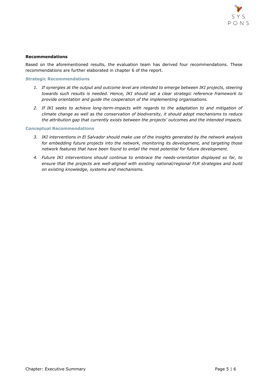

#### **Recommendations**

Based on the aforementioned results, the evaluation team has derived four recommendations. These recommendations are further elaborated in chapter 6 of the report.

#### **Strategic Recommendations**

- *1. If synergies at the output and outcome level are intended to emerge between IKI projects, steering towards such results is needed. Hence, IKI should set a clear strategic reference framework to provide orientation and guide the cooperation of the implementing organisations.*
- *2. If IKI seeks to achieve long-term-impacts with regards to the adaptation to and mitigation of climate change as well as the conservation of biodiversity, it should adopt mechanisms to reduce the attribution gap that currently exists between the projects' outcomes and the intended impacts.*

#### **Conceptual Recommendations**

- *3. IKI interventions in El Salvador should make use of the insights generated by the network analysis for embedding future projects into the network, monitoring its development, and targeting those network features that have been found to entail the most potential for future development.*
- *4. Future IKI interventions should continue to embrace the needs-orientation displayed so far, to ensure that the projects are well-aligned with existing national/regional FLR strategies and build on existing knowledge, systems and mechanisms.*